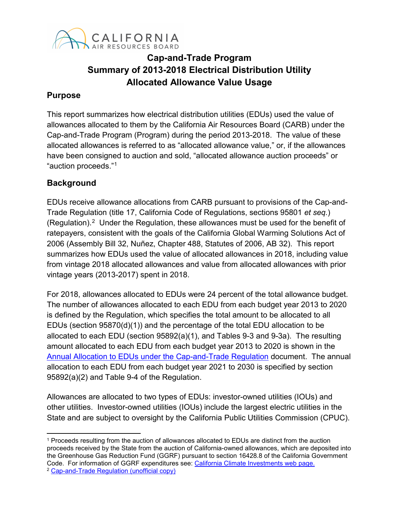

# **Cap-and-Trade Program Summary of 2013-2018 Electrical Distribution Utility Allocated Allowance Value Usage**

## **Purpose**

This report summarizes how electrical distribution utilities (EDUs) used the value of allowances allocated to them by the California Air Resources Board (CARB) under the Cap-and-Trade Program (Program) during the period 2013-2018. The value of these allocated allowances is referred to as "allocated allowance value," or, if the allowances have been consigned to auction and sold, "allocated allowance auction proceeds" or "auction proceeds."[1](#page-0-0)

# **Background**

EDUs receive allowance allocations from CARB pursuant to provisions of the Cap-and-Trade Regulation (title 17, California Code of Regulations, sections 95801 *et seq.*) (Regulation).[2](#page-0-1) Under the Regulation, these allowances must be used for the benefit of ratepayers, consistent with the goals of the California Global Warming Solutions Act of 2006 (Assembly Bill 32, Nuñez, Chapter 488, Statutes of 2006, AB 32). This report summarizes how EDUs used the value of allocated allowances in 2018, including value from vintage 2018 allocated allowances and value from allocated allowances with prior vintage years (2013-2017) spent in 2018.

For 2018, allowances allocated to EDUs were 24 percent of the total allowance budget. The number of allowances allocated to each EDU from each budget year 2013 to 2020 is defined by the Regulation, which specifies the total amount to be allocated to all EDUs (section 95870(d)(1)) and the percentage of the total EDU allocation to be allocated to each EDU (section 95892(a)(1), and Tables 9-3 and 9-3a). The resulting amount allocated to each EDU from each budget year 2013 to 2020 is shown in the [Annual Allocation to EDUs under the Cap-and-Trade Regulation](https://www.arb.ca.gov/cc/capandtrade/allowanceallocation/edu-ng-allowancedistribution/electricity-allocation.xlsx) document. The annual allocation to each EDU from each budget year 2021 to 2030 is specified by section 95892(a)(2) and Table 9-4 of the Regulation.

Allowances are allocated to two types of EDUs: investor-owned utilities (IOUs) and other utilities. Investor-owned utilities (IOUs) include the largest electric utilities in the State and are subject to oversight by the California Public Utilities Commission (CPUC).

<span id="page-0-1"></span><span id="page-0-0"></span>l <sup>1</sup> Proceeds resulting from the auction of allowances allocated to EDUs are distinct from the auction proceeds received by the State from the auction of California-owned allowances, which are deposited into the Greenhouse Gas Reduction Fund (GGRF) pursuant to section 16428.8 of the California Government Code. For information of GGRF expenditures see: [California Climate Investments web](http://www.caclimateinvestments.ca.gov/) page. <sup>2</sup> [Cap-and-Trade Regulation \(unofficial copy\)](https://www.arb.ca.gov/cc/capandtrade/ct_reg_unofficial.pdf)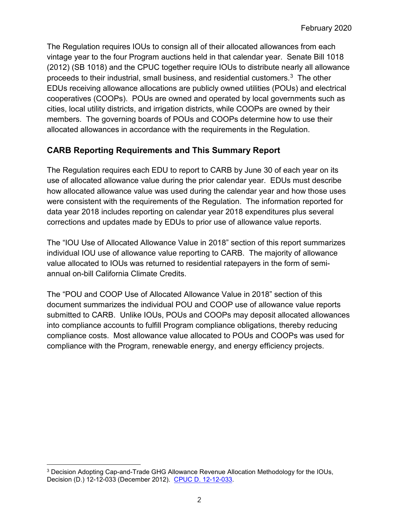The Regulation requires IOUs to consign all of their allocated allowances from each vintage year to the four Program auctions held in that calendar year. Senate Bill 1018 (2012) (SB 1018) and the CPUC together require IOUs to distribute nearly all allowance proceeds to their industrial, small business, and residential customers.[3](#page-1-0) The other EDUs receiving allowance allocations are publicly owned utilities (POUs) and electrical cooperatives (COOPs). POUs are owned and operated by local governments such as cities, local utility districts, and irrigation districts, while COOPs are owned by their members. The governing boards of POUs and COOPs determine how to use their allocated allowances in accordance with the requirements in the Regulation.

# **CARB Reporting Requirements and This Summary Report**

The Regulation requires each EDU to report to CARB by June 30 of each year on its use of allocated allowance value during the prior calendar year. EDUs must describe how allocated allowance value was used during the calendar year and how those uses were consistent with the requirements of the Regulation. The information reported for data year 2018 includes reporting on calendar year 2018 expenditures plus several corrections and updates made by EDUs to prior use of allowance value reports.

The "IOU Use of Allocated Allowance Value in 2018" section of this report summarizes individual IOU use of allowance value reporting to CARB. The majority of allowance value allocated to IOUs was returned to residential ratepayers in the form of semiannual on-bill California Climate Credits.

The "POU and COOP Use of Allocated Allowance Value in 2018" section of this document summarizes the individual POU and COOP use of allowance value reports submitted to CARB. Unlike IOUs, POUs and COOPs may deposit allocated allowances into compliance accounts to fulfill Program compliance obligations, thereby reducing compliance costs. Most allowance value allocated to POUs and COOPs was used for compliance with the Program, renewable energy, and energy efficiency projects.

l

<span id="page-1-0"></span><sup>3</sup> Decision Adopting Cap-and-Trade GHG Allowance Revenue Allocation Methodology for the IOUs, Decision (D.) 12-12-033 (December 2012). [CPUC D. 12-12-033.](http://docs.cpuc.ca.gov/PublishedDocs/Published/G000/M040/K631/40631611.PDF)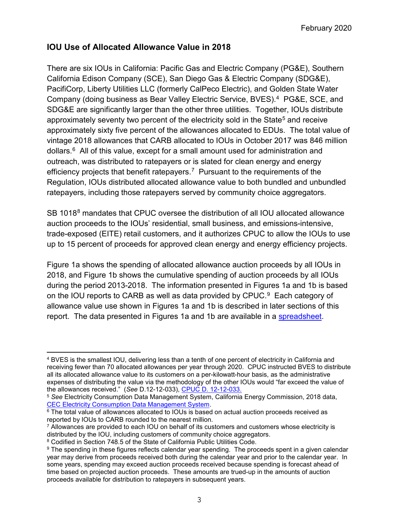# **IOU Use of Allocated Allowance Value in 2018**

There are six IOUs in California: Pacific Gas and Electric Company (PG&E), Southern California Edison Company (SCE), San Diego Gas & Electric Company (SDG&E), PacifiCorp, Liberty Utilities LLC (formerly CalPeco Electric), and Golden State Water Company (doing business as Bear Valley Electric Service, BVES).[4](#page-2-0) PG&E, SCE, and SDG&E are significantly larger than the other three utilities. Together, IOUs distribute approximately seventy two percent of the electricity sold in the State<sup>[5](#page-2-1)</sup> and receive approximately sixty five percent of the allowances allocated to EDUs. The total value of vintage 2018 allowances that CARB allocated to IOUs in October 2017 was 846 million dollars. [6](#page-2-2) All of this value, except for a small amount used for administration and outreach, was distributed to ratepayers or is slated for clean energy and energy efficiency projects that benefit ratepayers. [7](#page-2-3) Pursuant to the requirements of the Regulation, IOUs distributed allocated allowance value to both bundled and unbundled ratepayers, including those ratepayers served by community choice aggregators.

SB 101[8](#page-2-4)<sup>8</sup> mandates that CPUC oversee the distribution of all IOU allocated allowance auction proceeds to the IOUs' residential, small business, and emissions-intensive, trade-exposed (EITE) retail customers, and it authorizes CPUC to allow the IOUs to use up to 15 percent of proceeds for approved clean energy and energy efficiency projects.

Figure 1a shows the spending of allocated allowance auction proceeds by all IOUs in 2018, and Figure 1b shows the cumulative spending of auction proceeds by all IOUs during the period 2013-2018. The information presented in Figures 1a and 1b is based on the IOU reports to CARB as well as data provided by CPUC. $^9\,$  Each category of allowance value use shown in Figures 1a and 1b is described in later sections of this report. The data presented in Figures 1a and 1b are available in a [spreadsheet.](https://ww3.arb.ca.gov/cc/capandtrade/allowanceallocation/edu_uofavtables.xlsx)

<span id="page-2-0"></span>l <sup>4</sup> BVES is the smallest IOU, delivering less than a tenth of one percent of electricity in California and receiving fewer than 70 allocated allowances per year through 2020. CPUC instructed BVES to distribute all its allocated allowance value to its customers on a per-kilowatt-hour basis, as the administrative expenses of distributing the value via the methodology of the other IOUs would "far exceed the value of the allowances received." (*See* D.12-12-033), [CPUC D. 12-12-033.](http://docs.cpuc.ca.gov/publisheddocs/published/g000/m040/k631/40631611.pdf)

<span id="page-2-1"></span><sup>5</sup> *See* Electricity Consumption Data Management System, California Energy Commission, 2018 data,

<span id="page-2-2"></span> $6$  The total value of allowances allocated to IOUs is based on actual auction proceeds received as reported by IOUs to CARB rounded to the nearest million.

<span id="page-2-3"></span> $7$  Allowances are provided to each IOU on behalf of its customers and customers whose electricity is distributed by the IOU, including customers of community choice aggregators.

<span id="page-2-4"></span><sup>&</sup>lt;sup>8</sup> Codified in Section 748.5 of the State of California Public Utilities Code.

<span id="page-2-5"></span><sup>&</sup>lt;sup>9</sup> The spending in these figures reflects calendar year spending. The proceeds spent in a given calendar year may derive from proceeds received both during the calendar year and prior to the calendar year. In some years, spending may exceed auction proceeds received because spending is forecast ahead of time based on projected auction proceeds. These amounts are trued-up in the amounts of auction proceeds available for distribution to ratepayers in subsequent years.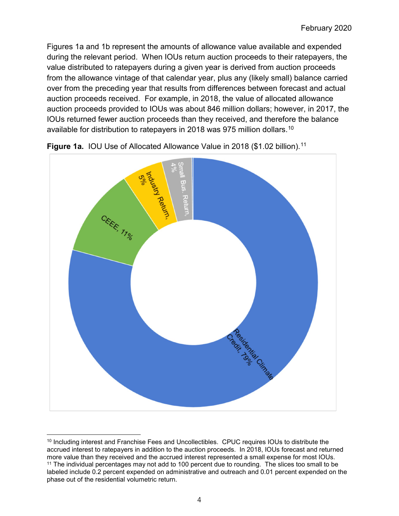Figures 1a and 1b represent the amounts of allowance value available and expended during the relevant period. When IOUs return auction proceeds to their ratepayers, the value distributed to ratepayers during a given year is derived from auction proceeds from the allowance vintage of that calendar year, plus any (likely small) balance carried over from the preceding year that results from differences between forecast and actual auction proceeds received. For example, in 2018, the value of allocated allowance auction proceeds provided to IOUs was about 846 million dollars; however, in 2017, the IOUs returned fewer auction proceeds than they received, and therefore the balance available for distribution to ratepayers in 2018 was 975 million dollars. [10](#page-3-0)



**Figure 1a.** IOU Use of Allocated Allowance Value in 2018 (\$1.02 billion).<sup>[11](#page-3-1)</sup>

<span id="page-3-1"></span><span id="page-3-0"></span> $\overline{\phantom{a}}$ <sup>10</sup> Including interest and Franchise Fees and Uncollectibles. CPUC requires IOUs to distribute the accrued interest to ratepayers in addition to the auction proceeds. In 2018, IOUs forecast and returned more value than they received and the accrued interest represented a small expense for most IOUs. <sup>11</sup> The individual percentages may not add to 100 percent due to rounding. The slices too small to be labeled include 0.2 percent expended on administrative and outreach and 0.01 percent expended on the phase out of the residential volumetric return.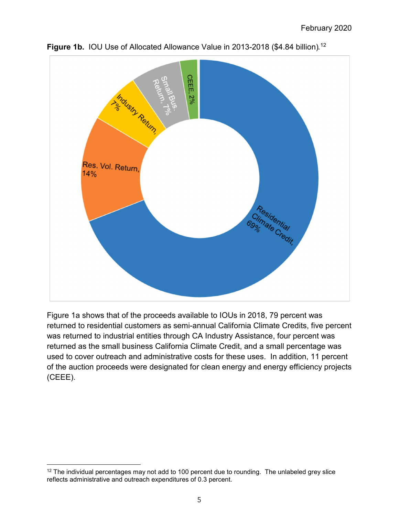



Figure 1a shows that of the proceeds available to IOUs in 2018, 79 percent was returned to residential customers as semi-annual California Climate Credits, five percent was returned to industrial entities through CA Industry Assistance, four percent was returned as the small business California Climate Credit, and a small percentage was used to cover outreach and administrative costs for these uses. In addition, 11 percent of the auction proceeds were designated for clean energy and energy efficiency projects (CEEE).

l

<span id="page-4-0"></span><sup>&</sup>lt;sup>12</sup> The individual percentages may not add to 100 percent due to rounding. The unlabeled grey slice reflects administrative and outreach expenditures of 0.3 percent.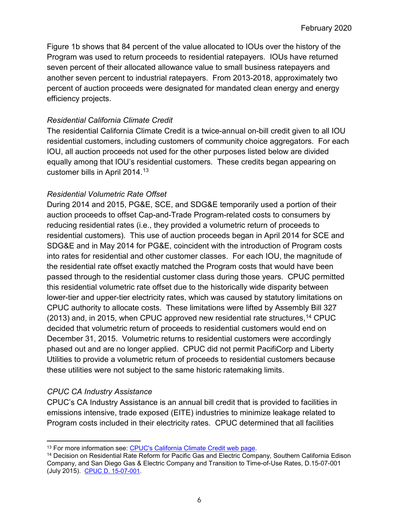Figure 1b shows that 84 percent of the value allocated to IOUs over the history of the Program was used to return proceeds to residential ratepayers. IOUs have returned seven percent of their allocated allowance value to small business ratepayers and another seven percent to industrial ratepayers. From 2013-2018, approximately two percent of auction proceeds were designated for mandated clean energy and energy efficiency projects.

## *Residential California Climate Credit*

The residential California Climate Credit is a twice-annual on-bill credit given to all IOU residential customers, including customers of community choice aggregators. For each IOU, all auction proceeds not used for the other purposes listed below are divided equally among that IOU's residential customers. These credits began appearing on customer bills in April 2014.[13](#page-5-0)

#### *Residential Volumetric Rate Offset*

During 2014 and 2015, PG&E, SCE, and SDG&E temporarily used a portion of their auction proceeds to offset Cap-and-Trade Program-related costs to consumers by reducing residential rates (i.e., they provided a volumetric return of proceeds to residential customers). This use of auction proceeds began in April 2014 for SCE and SDG&E and in May 2014 for PG&E, coincident with the introduction of Program costs into rates for residential and other customer classes. For each IOU, the magnitude of the residential rate offset exactly matched the Program costs that would have been passed through to the residential customer class during those years. CPUC permitted this residential volumetric rate offset due to the historically wide disparity between lower-tier and upper-tier electricity rates, which was caused by statutory limitations on CPUC authority to allocate costs. These limitations were lifted by Assembly Bill 327  $(2013)$  and, in 2015, when CPUC approved new residential rate structures,  $^{14}$  $^{14}$  $^{14}$  CPUC decided that volumetric return of proceeds to residential customers would end on December 31, 2015. Volumetric returns to residential customers were accordingly phased out and are no longer applied. CPUC did not permit PacifiCorp and Liberty Utilities to provide a volumetric return of proceeds to residential customers because these utilities were not subject to the same historic ratemaking limits.

## *CPUC CA Industry Assistance*

l

CPUC's CA Industry Assistance is an annual bill credit that is provided to facilities in emissions intensive, trade exposed (EITE) industries to minimize leakage related to Program costs included in their electricity rates. CPUC determined that all facilities

<span id="page-5-1"></span><span id="page-5-0"></span><sup>&</sup>lt;sup>13</sup> For more information see: CPUC's California Climate Credit web [page.](http://www.cpuc.ca.gov/ClimateCredit/)<br><sup>14</sup> Decision on Residential Rate Reform for Pacific Gas and Electric Company, Southern California Edison Company, and San Diego Gas & Electric Company and Transition to Time-of-Use Rates, D.15-07-001 (July 2015). [CPUC D. 15-07-001.](http://docs.cpuc.ca.gov/PublishedDocs/Published/G000/M153/K110/153110321.PDF)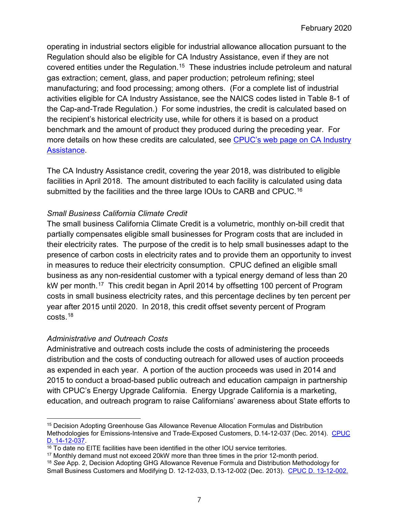operating in industrial sectors eligible for industrial allowance allocation pursuant to the Regulation should also be eligible for CA Industry Assistance, even if they are not covered entities under the Regulation.<sup>15</sup> These industries include petroleum and natural gas extraction; cement, glass, and paper production; petroleum refining; steel manufacturing; and food processing; among others. (For a complete list of industrial activities eligible for CA Industry Assistance, see the NAICS codes listed in Table 8-1 of the Cap-and-Trade Regulation.) For some industries, the credit is calculated based on the recipient's historical electricity use, while for others it is based on a product benchmark and the amount of product they produced during the preceding year. For more details on how these credits are calculated, see CPUC's web [page on CA Industry](http://www.cpuc.ca.gov/industryassistance/)  [Assistance.](http://www.cpuc.ca.gov/industryassistance/)

The CA Industry Assistance credit, covering the year 2018, was distributed to eligible facilities in April 2018. The amount distributed to each facility is calculated using data submitted by the facilities and the three large IOUs to CARB and CPUC.<sup>[16](#page-6-1)</sup>

## *Small Business California Climate Credit*

The small business California Climate Credit is a volumetric, monthly on-bill credit that partially compensates eligible small businesses for Program costs that are included in their electricity rates. The purpose of the credit is to help small businesses adapt to the presence of carbon costs in electricity rates and to provide them an opportunity to invest in measures to reduce their electricity consumption. CPUC defined an eligible small business as any non-residential customer with a typical energy demand of less than 20 kW per month. [17](#page-6-2) This credit began in April 2014 by offsetting 100 percent of Program costs in small business electricity rates, and this percentage declines by ten percent per year after 2015 until 2020. In 2018, this credit offset seventy percent of Program costs.[18](#page-6-3)

## *Administrative and Outreach Costs*

Administrative and outreach costs include the costs of administering the proceeds distribution and the costs of conducting outreach for allowed uses of auction proceeds as expended in each year. A portion of the auction proceeds was used in 2014 and 2015 to conduct a broad-based public outreach and education campaign in partnership with CPUC's Energy Upgrade California. Energy Upgrade California is a marketing, education, and outreach program to raise Californians' awareness about State efforts to

<span id="page-6-0"></span> $\overline{a}$ <sup>15</sup> Decision Adopting Greenhouse Gas Allowance Revenue Allocation Formulas and Distribution Methodologies for Emissions-Intensive and Trade-Exposed Customers, D.14-12-037 (Dec. 2014). CPUC<br>D. 14-12-037.

<span id="page-6-1"></span> $\frac{16}{16}$  To date no EITE facilities have been identified in the other IOU service territories.<br><sup>17</sup> Monthly demand must not exceed 20kW more than three times in the prior 12-month period.

<span id="page-6-3"></span><span id="page-6-2"></span><sup>&</sup>lt;sup>18</sup> See App. 2, Decision Adopting GHG Allowance Revenue Formula and Distribution Methodology for Small Business Customers and Modifying D. 12-12-033, D.13-12-002 (Dec. 2013). [CPUC D. 13-12-002.](http://docs.cpuc.ca.gov/PublishedDocs/Published/G000/M082/K829/82829359.PDF)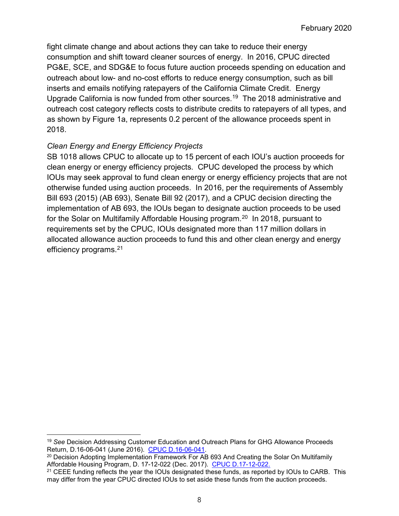fight climate change and about actions they can take to reduce their energy consumption and shift toward cleaner sources of energy. In 2016, CPUC directed PG&E, SCE, and SDG&E to focus future auction proceeds spending on education and outreach about low- and no-cost efforts to reduce energy consumption, such as bill inserts and emails notifying ratepayers of the California Climate Credit. Energy Upgrade California is now funded from other sources.[19](#page-7-0) The 2018 administrative and outreach cost category reflects costs to distribute credits to ratepayers of all types, and as shown by Figure 1a, represents 0.2 percent of the allowance proceeds spent in 2018.

## *Clean Energy and Energy Efficiency Projects*

SB 1018 allows CPUC to allocate up to 15 percent of each IOU's auction proceeds for clean energy or energy efficiency projects. CPUC developed the process by which IOUs may seek approval to fund clean energy or energy efficiency projects that are not otherwise funded using auction proceeds. In 2016, per the requirements of Assembly Bill 693 (2015) (AB 693), Senate Bill 92 (2017), and a CPUC decision directing the implementation of AB 693, the IOUs began to designate auction proceeds to be used for the Solar on Multifamily Affordable Housing program.<sup>[20](#page-7-1)</sup> In 2018, pursuant to requirements set by the CPUC, IOUs designated more than 117 million dollars in allocated allowance auction proceeds to fund this and other clean energy and energy efficiency programs.[21](#page-7-2)

<span id="page-7-0"></span> $\overline{\phantom{a}}$ <sup>19</sup> See Decision Addressing Customer Education and Outreach Plans for GHG Allowance Proceeds<br>Return, D.16-06-041 (June 2016). CPUC D.16-06-041.

<span id="page-7-1"></span><sup>&</sup>lt;sup>20</sup> Decision Adopting Implementation Framework For AB 693 And Creating the Solar On Multifamily Affordable Housing Program, D. 17-12-022 (Dec. 2017). [CPUC D.17-12-022.](http://docs.cpuc.ca.gov/PublishedDocs/Published/G000/M201/K940/201940057.pdf)

<span id="page-7-2"></span><sup>&</sup>lt;sup>21</sup> CEEE funding reflects the year the IOUs designated these funds, as reported by IOUs to CARB. This may differ from the year CPUC directed IOUs to set aside these funds from the auction proceeds.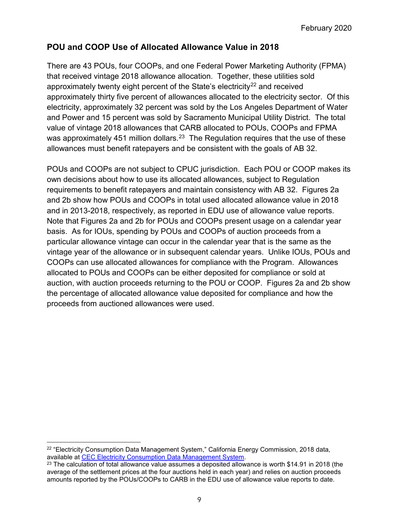# **POU and COOP Use of Allocated Allowance Value in 2018**

There are 43 POUs, four COOPs, and one Federal Power Marketing Authority (FPMA) that received vintage 2018 allowance allocation. Together, these utilities sold approximately twenty eight percent of the State's electricity<sup>[22](#page-8-0)</sup> and received approximately thirty five percent of allowances allocated to the electricity sector. Of this electricity, approximately 32 percent was sold by the Los Angeles Department of Water and Power and 15 percent was sold by Sacramento Municipal Utility District. The total value of vintage 2018 allowances that CARB allocated to POUs, COOPs and FPMA was approximately 451 million dollars. $^{23}\,$  The Regulation requires that the use of these allowances must benefit ratepayers and be consistent with the goals of AB 32.

POUs and COOPs are not subject to CPUC jurisdiction. Each POU or COOP makes its own decisions about how to use its allocated allowances, subject to Regulation requirements to benefit ratepayers and maintain consistency with AB 32. Figures 2a and 2b show how POUs and COOPs in total used allocated allowance value in 2018 and in 2013-2018, respectively, as reported in EDU use of allowance value reports. Note that Figures 2a and 2b for POUs and COOPs present usage on a calendar year basis. As for IOUs, spending by POUs and COOPs of auction proceeds from a particular allowance vintage can occur in the calendar year that is the same as the vintage year of the allowance or in subsequent calendar years. Unlike IOUs, POUs and COOPs can use allocated allowances for compliance with the Program. Allowances allocated to POUs and COOPs can be either deposited for compliance or sold at auction, with auction proceeds returning to the POU or COOP. Figures 2a and 2b show the percentage of allocated allowance value deposited for compliance and how the proceeds from auctioned allowances were used.

l

<span id="page-8-0"></span><sup>&</sup>lt;sup>22</sup> "Electricity Consumption Data Management System," California Energy Commission, 2018 data,<br>available at CEC Electricity Consumption Data Management System.

<span id="page-8-1"></span> $23$  The calculation of total allowance value assumes a deposited allowance is worth \$14.91 in 2018 (the average of the settlement prices at the four auctions held in each year) and relies on auction proceeds amounts reported by the POUs/COOPs to CARB in the EDU use of allowance value reports to date.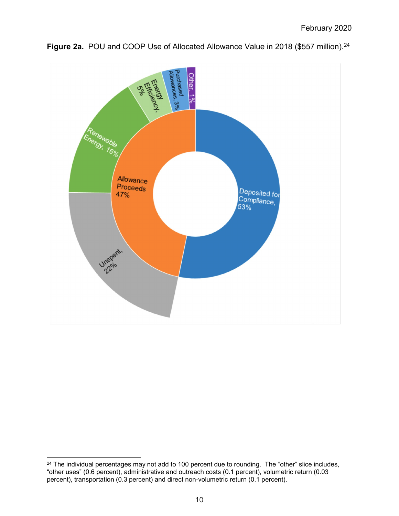

**Figure 2a.** POU and COOP Use of Allocated Allowance Value in 2018 (\$557 million).<sup>[24](#page-9-0)</sup>

 $\overline{\phantom{a}}$ 

<span id="page-9-0"></span> $^{24}$  The individual percentages may not add to 100 percent due to rounding.  $\,$  The "other" slice includes,  $\,$ "other uses" (0.6 percent), administrative and outreach costs (0.1 percent), volumetric return (0.03 percent), transportation (0.3 percent) and direct non-volumetric return (0.1 percent).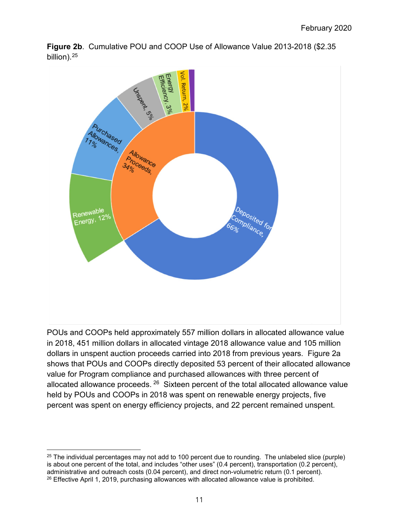



POUs and COOPs held approximately 557 million dollars in allocated allowance value in 2018, 451 million dollars in allocated vintage 2018 allowance value and 105 million dollars in unspent auction proceeds carried into 2018 from previous years. Figure 2a shows that POUs and COOPs directly deposited 53 percent of their allocated allowance value for Program compliance and purchased allowances with three percent of allocated allowance proceeds. <sup>[26](#page-10-1)</sup> Sixteen percent of the total allocated allowance value held by POUs and COOPs in 2018 was spent on renewable energy projects, five percent was spent on energy efficiency projects, and 22 percent remained unspent.

 $\overline{a}$ 

<span id="page-10-1"></span><span id="page-10-0"></span> $25$  The individual percentages may not add to 100 percent due to rounding. The unlabeled slice (purple) is about one percent of the total, and includes "other uses" (0.4 percent), transportation (0.2 percent), administrative and outreach costs (0.04 percent), and direct non-volumetric return (0.1 percent).  $26$  Effective April 1, 2019, purchasing allowances with allocated allowance value is prohibited.